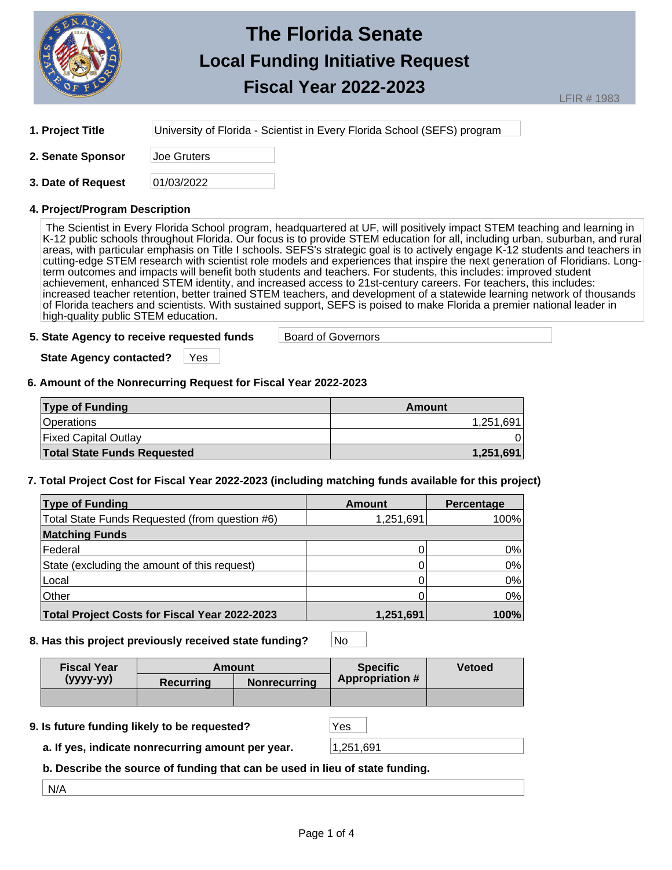

**1. Project Title** University of Florida - Scientist in Every Florida School (SEFS) program

**2. Senate Sponsor** Joe Gruters

**3. Date of Request** 01/03/2022

## **4. Project/Program Description**

The Scientist in Every Florida School program, headquartered at UF, will positively impact STEM teaching and learning in K-12 public schools throughout Florida. Our focus is to provide STEM education for all, including urban, suburban, and rural areas, with particular emphasis on Title I schools. SEFS's strategic goal is to actively engage K-12 students and teachers in cutting-edge STEM research with scientist role models and experiences that inspire the next generation of Floridians. Longterm outcomes and impacts will benefit both students and teachers. For students, this includes: improved student achievement, enhanced STEM identity, and increased access to 21st-century careers. For teachers, this includes: increased teacher retention, better trained STEM teachers, and development of a statewide learning network of thousands of Florida teachers and scientists. With sustained support, SEFS is poised to make Florida a premier national leader in high-quality public STEM education.

#### **5. State Agency to receive requested funds** Board of Governors

**State Agency contacted?** | Yes

### **6. Amount of the Nonrecurring Request for Fiscal Year 2022-2023**

| <b>Type of Funding</b>             | Amount    |
|------------------------------------|-----------|
| Operations                         | 1,251,691 |
| <b>Fixed Capital Outlay</b>        |           |
| <b>Total State Funds Requested</b> | 1.251.691 |

## **7. Total Project Cost for Fiscal Year 2022-2023 (including matching funds available for this project)**

| <b>Type of Funding</b>                               | Amount    | Percentage |
|------------------------------------------------------|-----------|------------|
| Total State Funds Requested (from question #6)       | 1,251,691 | 100%       |
| <b>Matching Funds</b>                                |           |            |
| Federal                                              |           | 0%         |
| State (excluding the amount of this request)         |           | 0%         |
| Local                                                |           | 0%         |
| Other                                                |           | 0%         |
| <b>Total Project Costs for Fiscal Year 2022-2023</b> | 1,251,691 | 100%       |

**8. Has this project previously received state funding?** No

| <b>Fiscal Year</b> | Amount    |                     | <b>Specific</b>        | <b>Vetoed</b> |
|--------------------|-----------|---------------------|------------------------|---------------|
| (уууу-уу)          | Recurring | <b>Nonrecurring</b> | <b>Appropriation #</b> |               |
|                    |           |                     |                        |               |

#### **9. Is future funding likely to be requested?** Yes

**a. If yes, indicate nonrecurring amount per year.** 1,251,691

**b. Describe the source of funding that can be used in lieu of state funding.**

N/A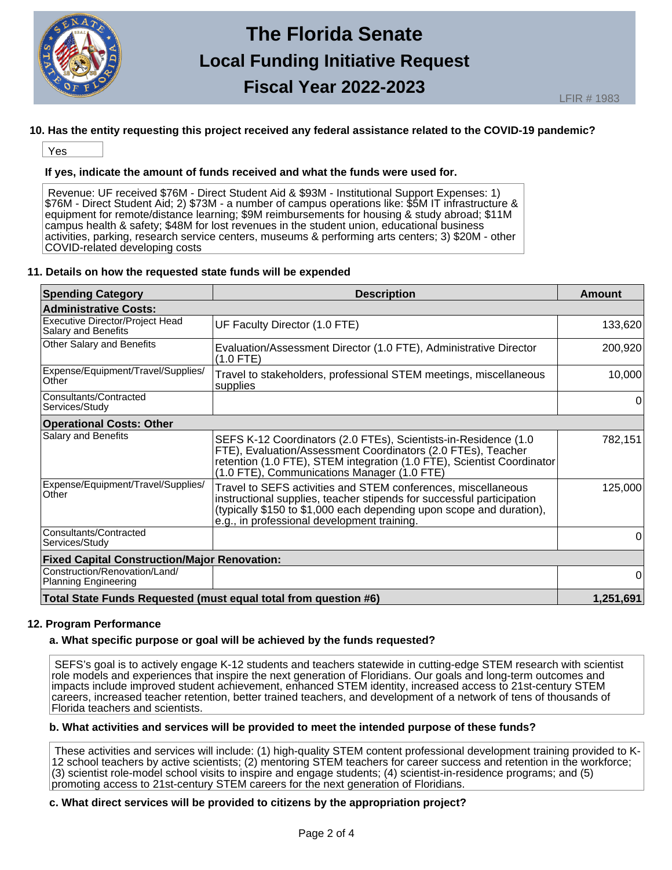

## **10. Has the entity requesting this project received any federal assistance related to the COVID-19 pandemic?**

Yes

## **If yes, indicate the amount of funds received and what the funds were used for.**

Revenue: UF received \$76M - Direct Student Aid & \$93M - Institutional Support Expenses: 1) \$76M - Direct Student Aid; 2) \$73M - a number of campus operations like: \$5M IT infrastructure & equipment for remote/distance learning; \$9M reimbursements for housing & study abroad; \$11M campus health & safety; \$48M for lost revenues in the student union, educational business activities, parking, research service centers, museums & performing arts centers; 3) \$20M - other COVID-related developing costs

### **11. Details on how the requested state funds will be expended**

| <b>Spending Category</b>                                        | <b>Description</b>                                                                                                                                                                                                                                            | Amount    |  |  |
|-----------------------------------------------------------------|---------------------------------------------------------------------------------------------------------------------------------------------------------------------------------------------------------------------------------------------------------------|-----------|--|--|
| Administrative Costs:                                           |                                                                                                                                                                                                                                                               |           |  |  |
| Executive Director/Project Head<br>Salary and Benefits          | UF Faculty Director (1.0 FTE)                                                                                                                                                                                                                                 | 133,620   |  |  |
| Other Salary and Benefits                                       | Evaluation/Assessment Director (1.0 FTE), Administrative Director<br>$(1.0$ FTE)                                                                                                                                                                              | 200,920   |  |  |
| Expense/Equipment/Travel/Supplies/<br>Other                     | Travel to stakeholders, professional STEM meetings, miscellaneous<br>supplies                                                                                                                                                                                 | 10,000    |  |  |
| Consultants/Contracted<br>Services/Study                        |                                                                                                                                                                                                                                                               | 0         |  |  |
| <b>Operational Costs: Other</b>                                 |                                                                                                                                                                                                                                                               |           |  |  |
| Salary and Benefits                                             | SEFS K-12 Coordinators (2.0 FTEs), Scientists-in-Residence (1.0<br>FTE), Evaluation/Assessment Coordinators (2.0 FTEs), Teacher<br>retention (1.0 FTE), STEM integration (1.0 FTE), Scientist Coordinator<br>(1.0 FTE), Communications Manager (1.0 FTE)      | 782,151   |  |  |
| Expense/Equipment/Travel/Supplies/<br>Other                     | Travel to SEFS activities and STEM conferences, miscellaneous<br>instructional supplies, teacher stipends for successful participation<br>(typically \$150 to \$1,000 each depending upon scope and duration),<br>e.g., in professional development training. |           |  |  |
| Consultants/Contracted<br>Services/Study                        |                                                                                                                                                                                                                                                               | 0         |  |  |
| <b>Fixed Capital Construction/Major Renovation:</b>             |                                                                                                                                                                                                                                                               |           |  |  |
| Construction/Renovation/Land/<br>Planning Engineering           |                                                                                                                                                                                                                                                               | 0         |  |  |
| Total State Funds Requested (must equal total from question #6) |                                                                                                                                                                                                                                                               | 1,251,691 |  |  |

#### **12. Program Performance**

# **a. What specific purpose or goal will be achieved by the funds requested?**

SEFS's goal is to actively engage K-12 students and teachers statewide in cutting-edge STEM research with scientist role models and experiences that inspire the next generation of Floridians. Our goals and long-term outcomes and impacts include improved student achievement, enhanced STEM identity, increased access to 21st-century STEM careers, increased teacher retention, better trained teachers, and development of a network of tens of thousands of Florida teachers and scientists.

# **b. What activities and services will be provided to meet the intended purpose of these funds?**

These activities and services will include: (1) high-quality STEM content professional development training provided to K-12 school teachers by active scientists; (2) mentoring STEM teachers for career success and retention in the workforce; (3) scientist role-model school visits to inspire and engage students; (4) scientist-in-residence programs; and (5) promoting access to 21st-century STEM careers for the next generation of Floridians.

# **c. What direct services will be provided to citizens by the appropriation project?**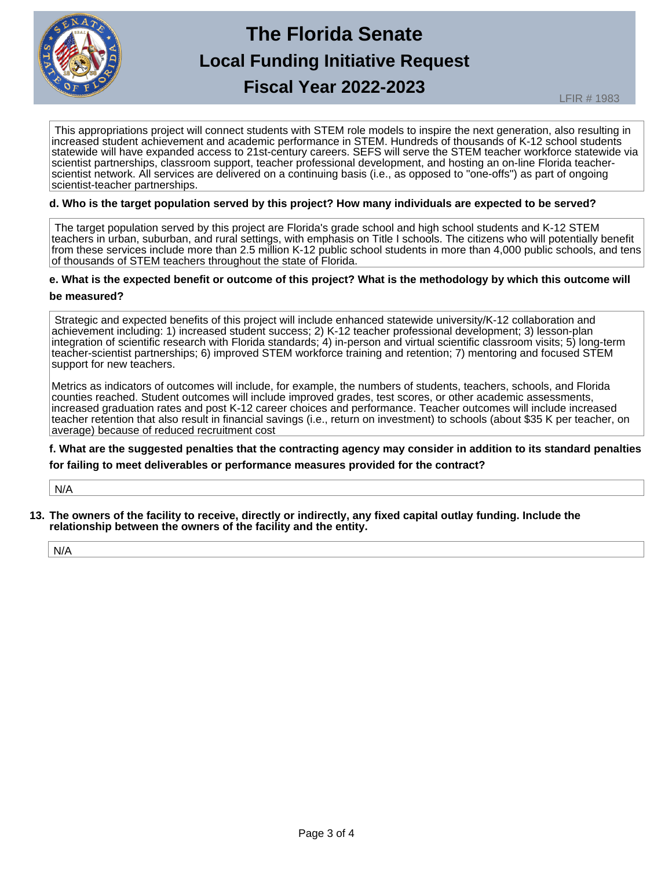

This appropriations project will connect students with STEM role models to inspire the next generation, also resulting in increased student achievement and academic performance in STEM. Hundreds of thousands of K-12 school students statewide will have expanded access to 21st-century careers. SEFS will serve the STEM teacher workforce statewide via scientist partnerships, classroom support, teacher professional development, and hosting an on-line Florida teacherscientist network. All services are delivered on a continuing basis (i.e., as opposed to "one-offs") as part of ongoing scientist-teacher partnerships.

#### **d. Who is the target population served by this project? How many individuals are expected to be served?**

The target population served by this project are Florida's grade school and high school students and K-12 STEM teachers in urban, suburban, and rural settings, with emphasis on Title I schools. The citizens who will potentially benefit from these services include more than 2.5 million K-12 public school students in more than 4,000 public schools, and tens of thousands of STEM teachers throughout the state of Florida.

### **e. What is the expected benefit or outcome of this project? What is the methodology by which this outcome will**

#### **be measured?**

Strategic and expected benefits of this project will include enhanced statewide university/K-12 collaboration and achievement including: 1) increased student success; 2) K-12 teacher professional development; 3) lesson-plan integration of scientific research with Florida standards; 4) in-person and virtual scientific classroom visits; 5) long-term teacher-scientist partnerships; 6) improved STEM workforce training and retention; 7) mentoring and focused STEM support for new teachers.

Metrics as indicators of outcomes will include, for example, the numbers of students, teachers, schools, and Florida counties reached. Student outcomes will include improved grades, test scores, or other academic assessments, increased graduation rates and post K-12 career choices and performance. Teacher outcomes will include increased teacher retention that also result in financial savings (i.e., return on investment) to schools (about \$35 K per teacher, on average) because of reduced recruitment cost

**f. What are the suggested penalties that the contracting agency may consider in addition to its standard penalties for failing to meet deliverables or performance measures provided for the contract?** 

N/A

**13. The owners of the facility to receive, directly or indirectly, any fixed capital outlay funding. Include the relationship between the owners of the facility and the entity.**

N/A